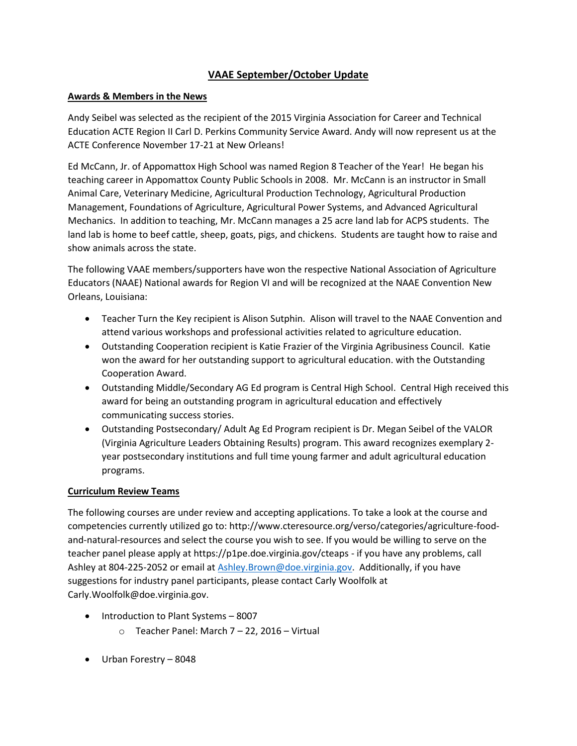# **VAAE September/October Update**

# **Awards & Members in the News**

Andy Seibel was selected as the recipient of the 2015 Virginia Association for Career and Technical Education ACTE Region II Carl D. Perkins Community Service Award. Andy will now represent us at the ACTE Conference November 17-21 at New Orleans!

Ed McCann, Jr. of Appomattox High School was named Region 8 Teacher of the Year! He began his teaching career in Appomattox County Public Schools in 2008. Mr. McCann is an instructor in Small Animal Care, Veterinary Medicine, Agricultural Production Technology, Agricultural Production Management, Foundations of Agriculture, Agricultural Power Systems, and Advanced Agricultural Mechanics. In addition to teaching, Mr. McCann manages a 25 acre land lab for ACPS students. The land lab is home to beef cattle, sheep, goats, pigs, and chickens. Students are taught how to raise and show animals across the state.

The following VAAE members/supporters have won the respective National Association of Agriculture Educators (NAAE) National awards for Region VI and will be recognized at the NAAE Convention New Orleans, Louisiana:

- Teacher Turn the Key recipient is Alison Sutphin. Alison will travel to the NAAE Convention and attend various workshops and professional activities related to agriculture education.
- Outstanding Cooperation recipient is Katie Frazier of the Virginia Agribusiness Council. Katie won the award for her outstanding support to agricultural education. with the Outstanding Cooperation Award.
- Outstanding Middle/Secondary AG Ed program is Central High School. Central High received this award for being an outstanding program in agricultural education and effectively communicating success stories.
- Outstanding Postsecondary/ Adult Ag Ed Program recipient is Dr. Megan Seibel of the VALOR (Virginia Agriculture Leaders Obtaining Results) program. This award recognizes exemplary 2 year postsecondary institutions and full time young farmer and adult agricultural education programs.

# **Curriculum Review Teams**

The following courses are under review and accepting applications. To take a look at the course and competencies currently utilized go to: http://www.cteresource.org/verso/categories/agriculture-foodand-natural-resources and select the course you wish to see. If you would be willing to serve on the teacher panel please apply at https://p1pe.doe.virginia.gov/cteaps - if you have any problems, call Ashley at 804-225-2052 or email at [Ashley.Brown@doe.virginia.gov.](mailto:Ashley.Brown@doe.virginia.gov) Additionally, if you have suggestions for industry panel participants, please contact Carly Woolfolk at Carly.Woolfolk@doe.virginia.gov.

- Introduction to Plant Systems 8007
	- o Teacher Panel: March 7 22, 2016 Virtual
- Urban Forestry 8048